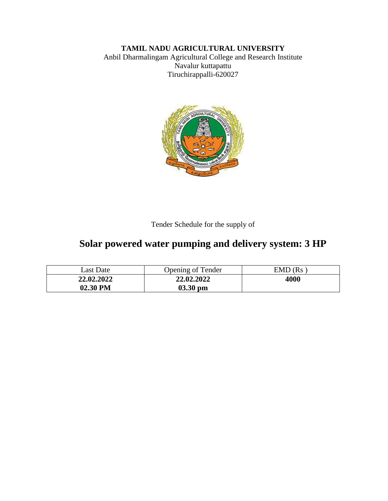# **TAMIL NADU AGRICULTURAL UNIVERSITY**

Anbil Dharmalingam Agricultural College and Research Institute Navalur kuttapattu Tiruchirappalli-620027



Tender Schedule for the supply of

# **Solar powered water pumping and delivery system: 3 HP**

| Last Date  | <b>Opening of Tender</b> | EMD (Rs |
|------------|--------------------------|---------|
| 22.02.2022 | 22,02,2022               | 4000    |
| 02.30 PM   | $03.30$ pm               |         |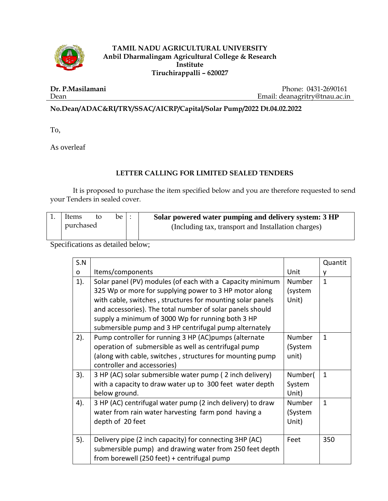

#### **TAMIL NADU AGRICULTURAL UNIVERSITY Anbil Dharmalingam Agricultural College & Research Institute Tiruchirappalli – 620027**

**Dr. P.Masilamani** Dean

Phone: 0431-2690161 Email: deanagritry@tnau.ac.in

### **No.Dean/ADAC&RI/TRY/SSAC/AICRP/Capital/Solar Pump/2022 Dt.04.02.2022**

To,

As overleaf

#### **LETTER CALLING FOR LIMITED SEALED TENDERS**

It is proposed to purchase the item specified below and you are therefore requested to send your Tenders in sealed cover.

| Items     | to | be $\vdots$ | Solar powered water pumping and delivery system: 3 HP |  |
|-----------|----|-------------|-------------------------------------------------------|--|
| purchased |    |             | (Including tax, transport and Installation charges)   |  |

Specifications as detailed below;

| S.N    |                                                            |         | Quantit      |
|--------|------------------------------------------------------------|---------|--------------|
| O      | Items/components                                           | Unit    | v            |
| $1$ ). | Solar panel (PV) modules (of each with a Capacity minimum  | Number  | $\mathbf{1}$ |
|        | 325 Wp or more for supplying power to 3 HP motor along     | (system |              |
|        | with cable, switches, structures for mounting solar panels | Unit)   |              |
|        | and accessories). The total number of solar panels should  |         |              |
|        | supply a minimum of 3000 Wp for running both 3 HP          |         |              |
|        | submersible pump and 3 HP centrifugal pump alternately     |         |              |
| 2).    | Pump controller for running 3 HP (AC)pumps (alternate      | Number  | $\mathbf{1}$ |
|        | operation of submersible as well as centrifugal pump       | (System |              |
|        | (along with cable, switches, structures for mounting pump  | unit)   |              |
|        | controller and accessories)                                |         |              |
| 3).    | 3 HP (AC) solar submersible water pump (2 inch delivery)   | Number( | $\mathbf{1}$ |
|        | with a capacity to draw water up to 300 feet water depth   | System  |              |
|        | below ground.                                              | Unit)   |              |
| 4).    | 3 HP (AC) centrifugal water pump (2 inch delivery) to draw | Number  | $\mathbf{1}$ |
|        | water from rain water harvesting farm pond having a        | (System |              |
|        | depth of 20 feet                                           | Unit)   |              |
|        |                                                            |         |              |
| 5).    | Delivery pipe (2 inch capacity) for connecting 3HP (AC)    | Feet    | 350          |
|        | submersible pump) and drawing water from 250 feet depth    |         |              |
|        | from borewell (250 feet) + centrifugal pump                |         |              |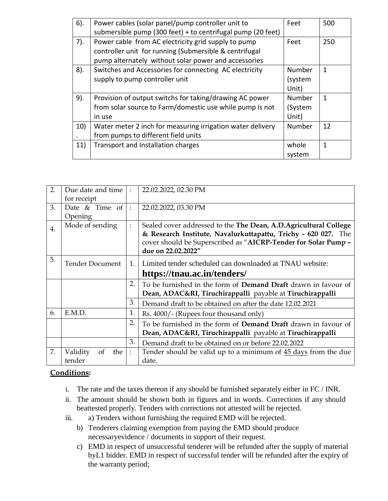| $6$ ). | Power cables (solar panel/pump controller unit to           | Feet    | 500         |
|--------|-------------------------------------------------------------|---------|-------------|
|        | submersible pump (300 feet) + to centrifugal pump (20 feet) |         |             |
| $7$ ). | Power cable from AC electricity grid supply to pump         | Feet    | 250         |
|        | controller unit for running (Submersible & centrifugal      |         |             |
|        | pump alternately without solar power and accessories        |         |             |
| 8).    | Switches and Accessories for connecting AC electricity      | Number  | 1           |
|        | supply to pump controller unit                              | (system |             |
|        |                                                             | Unit)   |             |
| 9).    | Provision of output switchs for taking/drawing AC power     | Number  | $\mathbf 1$ |
|        | from solar source to Farm/domestic use while pump is not    | (System |             |
|        | in use                                                      | Unit)   |             |
| 10)    | Water meter 2 inch for measuring irrigation water delivery  | Number  | 12          |
|        | from pumps to different field units                         |         |             |
| 11)    | Transport and Installation charges                          | whole   | 1           |
|        |                                                             | system  |             |

| 2.<br>Due date and time<br>22.02.2022, 02.30 PM<br>$\ddot{\cdot}$<br>for receipt<br>Date & Time of<br>3.<br>22.02.2022, 03.30 PM<br>$\ddot{\cdot}$<br>Opening<br>Mode of sending<br>Sealed cover addressed to the The Dean, A.D.Agricultural College<br>$\ddot{\cdot}$<br>$\overline{4}$ .<br>& Research Institute, Navalurkuttapattu, Trichy - 620 027. The<br>cover should be Superscribed as "AICRP-Tender for Solar Pump -<br>due on 22.02.2022"<br>5.<br><b>Tender Document</b><br>Limited tender scheduled can downloaded at TNAU website:<br>$\mathbf{1}$ .<br>https://tnau.ac.in/tenders/<br>2.<br>To be furnished in the form of <b>Demand Draft</b> drawn in favour of<br>Dean, ADAC&RI, Tiruchirappalli payable at Tiruchirappalli<br>3.<br>Demand draft to be obtained on after the date 12.02.2021<br>E.M.D.<br>1.<br>6.<br>Rs. 4000/- (Rupees four thousand only)<br>2.<br>To be furnished in the form of Demand Draft drawn in favour of<br>Dean, ADAC&RI, Tiruchirappalli payable at Tiruchirappalli<br>3.<br>Demand draft to be obtained on or before 22.02.2022<br>7.<br>Tender should be valid up to a minimum of 45 days from the due<br>Validity<br>the<br>of<br>$\ddot{\cdot}$ |        |  |       |
|------------------------------------------------------------------------------------------------------------------------------------------------------------------------------------------------------------------------------------------------------------------------------------------------------------------------------------------------------------------------------------------------------------------------------------------------------------------------------------------------------------------------------------------------------------------------------------------------------------------------------------------------------------------------------------------------------------------------------------------------------------------------------------------------------------------------------------------------------------------------------------------------------------------------------------------------------------------------------------------------------------------------------------------------------------------------------------------------------------------------------------------------------------------------------------------------------|--------|--|-------|
|                                                                                                                                                                                                                                                                                                                                                                                                                                                                                                                                                                                                                                                                                                                                                                                                                                                                                                                                                                                                                                                                                                                                                                                                      |        |  |       |
|                                                                                                                                                                                                                                                                                                                                                                                                                                                                                                                                                                                                                                                                                                                                                                                                                                                                                                                                                                                                                                                                                                                                                                                                      |        |  |       |
|                                                                                                                                                                                                                                                                                                                                                                                                                                                                                                                                                                                                                                                                                                                                                                                                                                                                                                                                                                                                                                                                                                                                                                                                      |        |  |       |
|                                                                                                                                                                                                                                                                                                                                                                                                                                                                                                                                                                                                                                                                                                                                                                                                                                                                                                                                                                                                                                                                                                                                                                                                      |        |  |       |
|                                                                                                                                                                                                                                                                                                                                                                                                                                                                                                                                                                                                                                                                                                                                                                                                                                                                                                                                                                                                                                                                                                                                                                                                      |        |  |       |
|                                                                                                                                                                                                                                                                                                                                                                                                                                                                                                                                                                                                                                                                                                                                                                                                                                                                                                                                                                                                                                                                                                                                                                                                      |        |  |       |
|                                                                                                                                                                                                                                                                                                                                                                                                                                                                                                                                                                                                                                                                                                                                                                                                                                                                                                                                                                                                                                                                                                                                                                                                      |        |  |       |
|                                                                                                                                                                                                                                                                                                                                                                                                                                                                                                                                                                                                                                                                                                                                                                                                                                                                                                                                                                                                                                                                                                                                                                                                      |        |  |       |
|                                                                                                                                                                                                                                                                                                                                                                                                                                                                                                                                                                                                                                                                                                                                                                                                                                                                                                                                                                                                                                                                                                                                                                                                      |        |  |       |
|                                                                                                                                                                                                                                                                                                                                                                                                                                                                                                                                                                                                                                                                                                                                                                                                                                                                                                                                                                                                                                                                                                                                                                                                      |        |  |       |
|                                                                                                                                                                                                                                                                                                                                                                                                                                                                                                                                                                                                                                                                                                                                                                                                                                                                                                                                                                                                                                                                                                                                                                                                      |        |  |       |
|                                                                                                                                                                                                                                                                                                                                                                                                                                                                                                                                                                                                                                                                                                                                                                                                                                                                                                                                                                                                                                                                                                                                                                                                      |        |  |       |
|                                                                                                                                                                                                                                                                                                                                                                                                                                                                                                                                                                                                                                                                                                                                                                                                                                                                                                                                                                                                                                                                                                                                                                                                      |        |  |       |
|                                                                                                                                                                                                                                                                                                                                                                                                                                                                                                                                                                                                                                                                                                                                                                                                                                                                                                                                                                                                                                                                                                                                                                                                      |        |  |       |
|                                                                                                                                                                                                                                                                                                                                                                                                                                                                                                                                                                                                                                                                                                                                                                                                                                                                                                                                                                                                                                                                                                                                                                                                      |        |  |       |
|                                                                                                                                                                                                                                                                                                                                                                                                                                                                                                                                                                                                                                                                                                                                                                                                                                                                                                                                                                                                                                                                                                                                                                                                      |        |  |       |
|                                                                                                                                                                                                                                                                                                                                                                                                                                                                                                                                                                                                                                                                                                                                                                                                                                                                                                                                                                                                                                                                                                                                                                                                      |        |  |       |
|                                                                                                                                                                                                                                                                                                                                                                                                                                                                                                                                                                                                                                                                                                                                                                                                                                                                                                                                                                                                                                                                                                                                                                                                      |        |  |       |
|                                                                                                                                                                                                                                                                                                                                                                                                                                                                                                                                                                                                                                                                                                                                                                                                                                                                                                                                                                                                                                                                                                                                                                                                      |        |  |       |
|                                                                                                                                                                                                                                                                                                                                                                                                                                                                                                                                                                                                                                                                                                                                                                                                                                                                                                                                                                                                                                                                                                                                                                                                      |        |  |       |
|                                                                                                                                                                                                                                                                                                                                                                                                                                                                                                                                                                                                                                                                                                                                                                                                                                                                                                                                                                                                                                                                                                                                                                                                      |        |  |       |
|                                                                                                                                                                                                                                                                                                                                                                                                                                                                                                                                                                                                                                                                                                                                                                                                                                                                                                                                                                                                                                                                                                                                                                                                      |        |  |       |
|                                                                                                                                                                                                                                                                                                                                                                                                                                                                                                                                                                                                                                                                                                                                                                                                                                                                                                                                                                                                                                                                                                                                                                                                      | tender |  | date. |

## **Conditions:**

- i. The rate and the taxes thereon if any should be furnished separately either in FC / INR.
- ii. The amount should be shown both in figures and in words. Corrections if any should beattested properly. Tenders with corrections not attested will be rejected.
- iii. a) Tenders without furnishing the required EMD will be rejected.
	- b) Tenderers claiming exemption from paying the EMD should produce necessaryevidence / documents in support of their request.
	- c) EMD in respect of unsuccessful tenderer will be refunded after the supply of material byL1 bidder. EMD in respect of successful tender will be refunded after the expiry of the warranty period;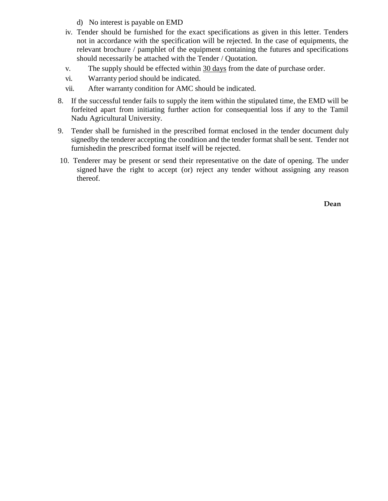- d) No interest is payable on EMD
- iv. Tender should be furnished for the exact specifications as given in this letter. Tenders not in accordance with the specification will be rejected. In the case of equipments, the relevant brochure / pamphlet of the equipment containing the futures and specifications should necessarily be attached with the Tender / Quotation.
- v. The supply should be effected within 30 days from the date of purchase order.
- vi. Warranty period should be indicated.
- vii. After warranty condition for AMC should be indicated.
- 8. If the successful tender fails to supply the item within the stipulated time, the EMD will be forfeited apart from initiating further action for consequential loss if any to the Tamil Nadu Agricultural University.
- 9. Tender shall be furnished in the prescribed format enclosed in the tender document duly signedby the tenderer accepting the condition and the tender format shall be sent. Tender not furnishedin the prescribed format itself will be rejected.
- 10. Tenderer may be present or send their representative on the date of opening. The under signed have the right to accept (or) reject any tender without assigning any reason thereof.

**Dean**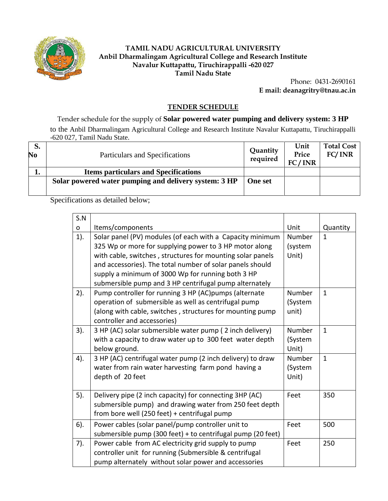

#### **TAMIL NADU AGRICULTURAL UNIVERSITY Anbil Dharmalingam Agricultural College and Research Institute Navalur Kuttapattu, Tiruchirappalli -620 027 Tamil Nadu State**

Phone: 0431-2690161 **E mail: deanagritry@tnau.ac.in**

#### **TENDER SCHEDULE**

Tender schedule for the supply of **Solar powered water pumping and delivery system: 3 HP** to the Anbil Dharmalingam Agricultural College and Research Institute Navalur Kuttapattu, Tiruchirappalli -620 027, Tamil Nadu State.

| S.<br>No | Particulars and Specifications                        | <b>Quantity</b><br>required | Unit<br>Price<br>FC/INR | <b>Total Cost</b><br>FC/INR |
|----------|-------------------------------------------------------|-----------------------------|-------------------------|-----------------------------|
| ı.       | <b>Items particulars and Specifications</b>           |                             |                         |                             |
|          | Solar powered water pumping and delivery system: 3 HP | <b>One set</b>              |                         |                             |

Specifications as detailed below;

| S.N    |                                                                                                                                                                                                           |                            |              |
|--------|-----------------------------------------------------------------------------------------------------------------------------------------------------------------------------------------------------------|----------------------------|--------------|
| o      | Items/components                                                                                                                                                                                          | Unit                       | Quantity     |
| $1$ ). | Solar panel (PV) modules (of each with a Capacity minimum<br>325 Wp or more for supplying power to 3 HP motor along<br>with cable, switches, structures for mounting solar panels                         | Number<br>(system<br>Unit) | $\mathbf{1}$ |
|        | and accessories). The total number of solar panels should<br>supply a minimum of 3000 Wp for running both 3 HP<br>submersible pump and 3 HP centrifugal pump alternately                                  |                            |              |
| $2$ ). | Pump controller for running 3 HP (AC)pumps (alternate<br>operation of submersible as well as centrifugal pump<br>(along with cable, switches, structures for mounting pump<br>controller and accessories) | Number<br>(System<br>unit) | $\mathbf{1}$ |
| 3).    | 3 HP (AC) solar submersible water pump (2 inch delivery)<br>with a capacity to draw water up to 300 feet water depth<br>below ground.                                                                     | Number<br>(System<br>Unit) | $\mathbf{1}$ |
| 4).    | 3 HP (AC) centrifugal water pump (2 inch delivery) to draw<br>water from rain water harvesting farm pond having a<br>depth of 20 feet                                                                     | Number<br>(System<br>Unit) | $\mathbf{1}$ |
| 5).    | Delivery pipe (2 inch capacity) for connecting 3HP (AC)<br>submersible pump) and drawing water from 250 feet depth<br>from bore well (250 feet) + centrifugal pump                                        | Feet                       | 350          |
| $6$ ). | Power cables (solar panel/pump controller unit to<br>submersible pump (300 feet) + to centrifugal pump (20 feet)                                                                                          | Feet                       | 500          |
| 7).    | Power cable from AC electricity grid supply to pump<br>controller unit for running (Submersible & centrifugal<br>pump alternately without solar power and accessories                                     | Feet                       | 250          |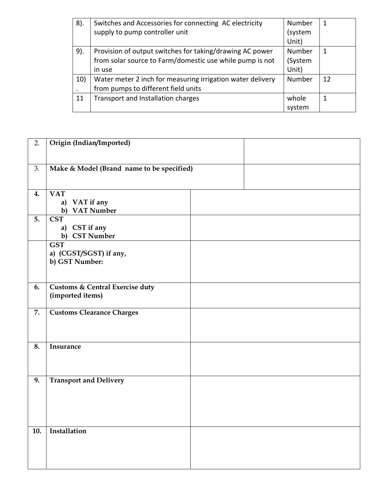| 8). | Switches and Accessories for connecting AC electricity     | Number  | -1 |
|-----|------------------------------------------------------------|---------|----|
|     | supply to pump controller unit                             | (system |    |
|     |                                                            | Unit)   |    |
| 9). | Provision of output switches for taking/drawing AC power   | Number  | 1  |
|     | from solar source to Farm/domestic use while pump is not   | (System |    |
|     | in use                                                     | Unit)   |    |
| 10) | Water meter 2 inch for measuring irrigation water delivery | Number  | 12 |
|     | from pumps to different field units                        |         |    |
| 11  | Transport and Installation charges                         | whole   | 1  |
|     |                                                            | system  |    |

| 2.               | Origin (Indian/Imported)                                  |  |  |
|------------------|-----------------------------------------------------------|--|--|
| 3.               | Make & Model (Brand name to be specified)                 |  |  |
| 4.               | <b>VAT</b><br>a)<br>VAT if any<br><b>VAT Number</b><br>b) |  |  |
| 5.               | <b>CST</b><br>CST if any<br>a)<br><b>CST Number</b><br>b) |  |  |
|                  | <b>GST</b><br>a) (CGST/SGST) if any,<br>b) GST Number:    |  |  |
| 6.               | Customs & Central Exercise duty<br>(imported items)       |  |  |
| 7.               | <b>Customs Clearance Charges</b>                          |  |  |
| 8.               | Insurance                                                 |  |  |
| $\overline{9}$ . | <b>Transport and Delivery</b>                             |  |  |
| 10.              | Installation                                              |  |  |